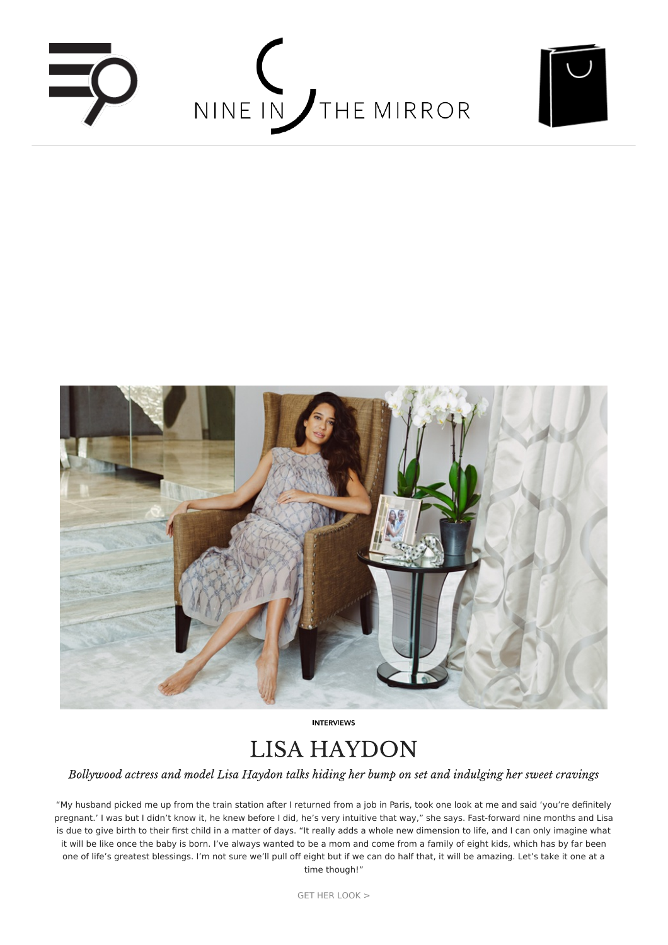





**INTERVIEWS** 

# **LISA HAYDON**

Bollywood actress and model Lisa Haydon talks hiding her bump on set and indulging her sweet cravings

"My husband picked me up from the train station after I returned from a job in Paris, took one look at me and said 'you're definitely [pregnant.'](https://www.nineinthemirror.com/shop/designers/eberjey.html?___SID=U) I was but I didn't know it, he knew before I did, he's very intuitive that way," she says. Fast-forward nine months and Lisa is due to give birth to their first child in a matter of days. "It really adds a whole new dimension to life, and I can only imagine what it will be like once the baby is born. I've always wanted to be a mom and come from a family of eight kids, which has by far been one of life's greatest [blessings.](https://www.nineinthemirror.com/shop/designers/elle-macpherson-intimates.html?___SID=U) I'm not sure we'll pull off eight but if we can do half that, it will be amazing. Let's take it one at a time though!"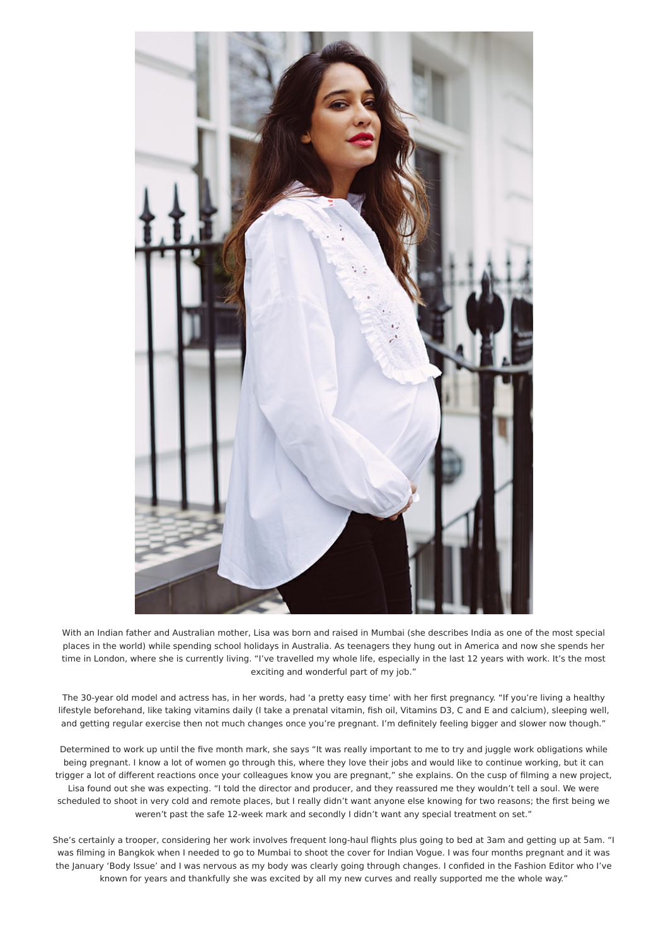

With an [Indian](https://www.nineinthemirror.com/shop/designers/marysia.html?___SID=U) father and Australian mother, Lisa was born and raised in Mumbai (she describes India as one of the most special places in the world) while spending school holidays in Australia. As teenagers they hung out in America and now she spends her time in [London,](https://www.nineinthemirror.com/shop/designers/minois.html?___SID=U) where she is currently living. "I've travelled my whole life, especially in the last 12 years with work. It's the most exciting and wonderful part of my job."

The [30-year](https://www.nineinthemirror.com/shop/designers/missoni.html?___SID=U) old model and actress has, in her words, had 'a pretty easy time' with her first pregnancy. "If you're living a healthy lifestyle beforehand, like taking vitamins daily (I take a prenatal vitamin, fish oil, Vitamins D3, C and E and calcium), sleeping well, and getting regular [exercise](https://www.nineinthemirror.com/shop/designers/missoni-mare.html?___SID=U) then not much changes once you're pregnant. I'm definitely feeling bigger and slower now though."

[Determined](https://www.nineinthemirror.com/shop/designers/nine-in-the-mirror-vyshyvanka.html?___SID=U) to work up until the five month mark, she says "It was really important to me to try and juggle work obligations while being pregnant. I know a lot of women go through this, where they love their jobs and would like to continue working, but it can trigger a lot of different reactions once your colleagues know you are pregnant," she explains. On the cusp of filming a new project, Lisa found out she was expecting. "I told the director and producer, and they reassured me they wouldn't tell a soul. We were [scheduled](https://www.nineinthemirror.com/shop/designers/oeuf.html?___SID=U) to shoot in very cold and remote places, but I really didn't want anyone else knowing for two reasons; the first being we [weren't](https://www.nineinthemirror.com/shop/designers/paige.html?___SID=U) past the safe 12-week mark and secondly I didn't want any special treatment on set."

She's certainly a trooper, considering her work involves frequent long-haul flights plus going to bed at 3am and getting up at 5am. "I was filming in [Bangkok](https://www.nineinthemirror.com/shop/designers/paul-joe.html?___SID=U) when I needed to go to Mumbai to shoot the cover for Indian Vogue. I was four months pregnant and it was the January 'Body Issue' and I was nervous as my body was clearly going through changes. I confided in the Fashion Editor who I've [known](https://www.nineinthemirror.com/shop/designers/petit-bateau.html?___SID=U) for years and thankfully she was excited by all my new curves and really supported me the whole way."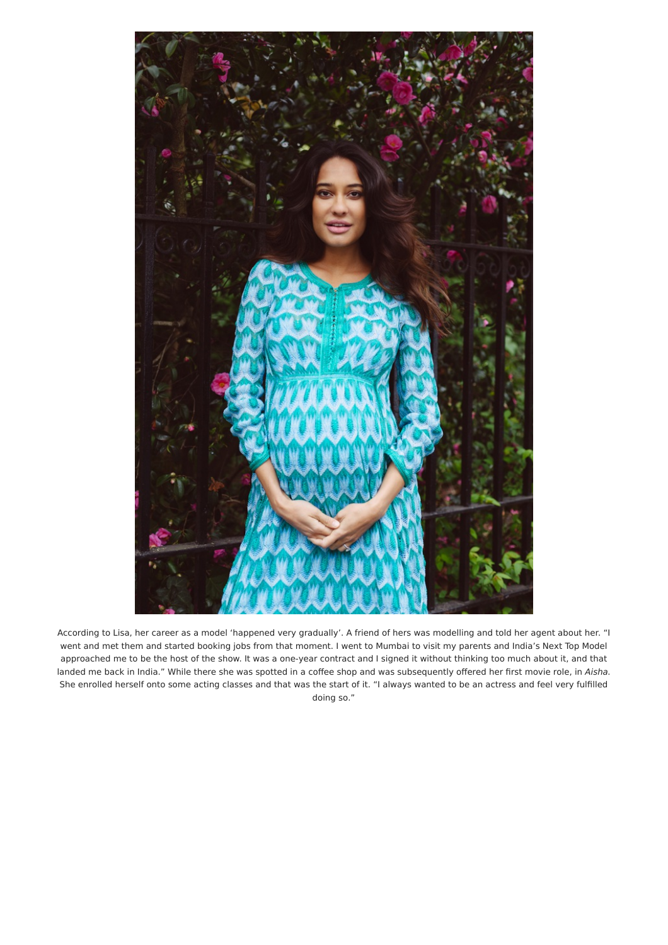

According to Lisa, her career as a model 'happened very gradually'. A friend of hers was modelling and told her agent about her. "I went and met them and started booking jobs from that moment. I went to Mumbai to visit my parents and India's Next Top Model approached me to be the host of the show. It was a one-year contract and I signed it without thinking too much about it, and that landed me back in India." While there she was spotted in a coffee shop and was subsequently offered her first movie role, in Aisha. She enrolled herself onto some acting classes and that was the start of it. "I always wanted to be an actress and feel very fulfilled doing so."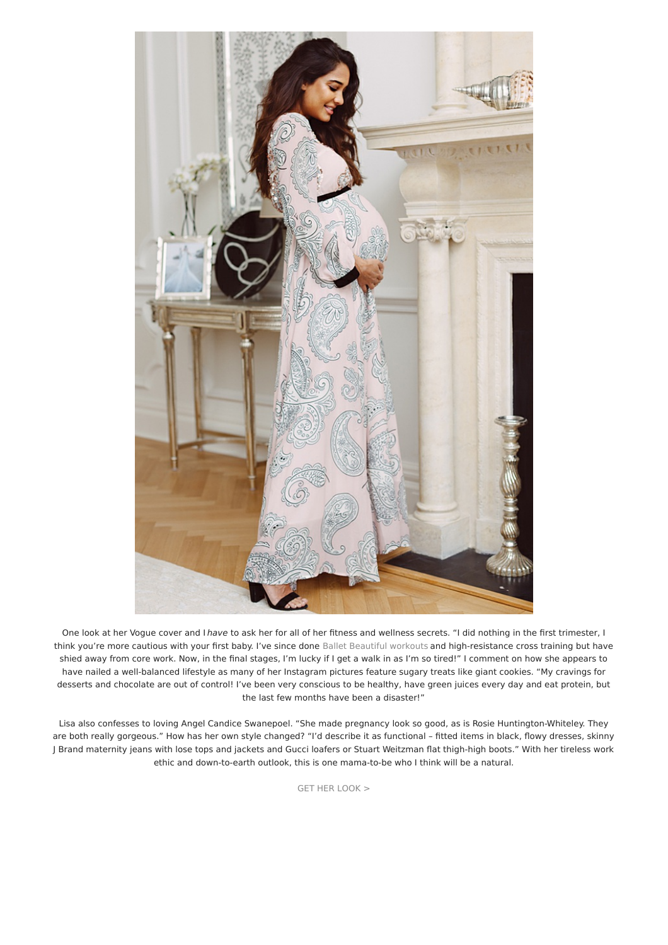

One look at her Vogue cover and I have to ask her for all of her fitness and wellness secrets. "I did nothing in the first trimester, I think you're more cautious with your first baby. I've since done Ballet [Beautiful](https://www.nineinthemirror.com/shop/designers/ballet-baby.html?___SID=U) workouts and high-resistance cross training but have shied away from core work. Now, in the final stages, I'm lucky if I get a walk in as I'm so tired!" I comment on how she appears to have nailed a well-balanced lifestyle as many of her Instagram pictures feature sugary treats like giant cookies. "My cravings for desserts and chocolate are out of control! I've been very conscious to be healthy, have green juices every day and eat protein, but the last few months have been a disaster!"

Lisa also confesses to loving Angel Candice Swanepoel. "She made pregnancy look so good, as is Rosie Huntington-Whiteley. They are both really gorgeous." How has her own style changed? "I'd describe it as functional – fitted items in black, flowy dresses, skinny J Brand maternity jeans with lose tops and jackets and Gucci loafers or Stuart Weitzman flat thigh-high boots." With her tireless work ethic and down-to-earth outlook, this is one mama-to-be who I think will be a natural.

GET HER [LOOK](https://www.nineinthemirror.com/shop/lisa-haydon.html) >